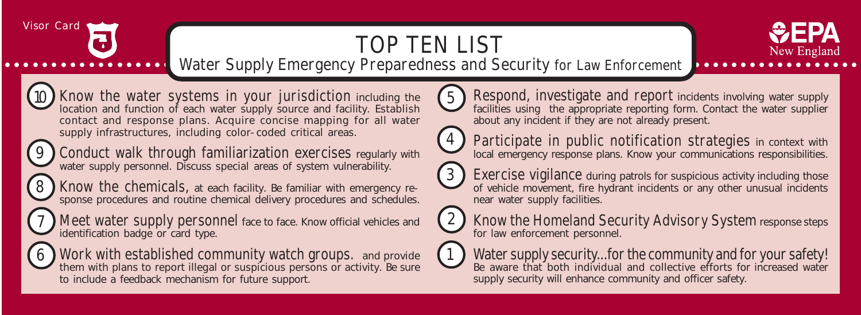